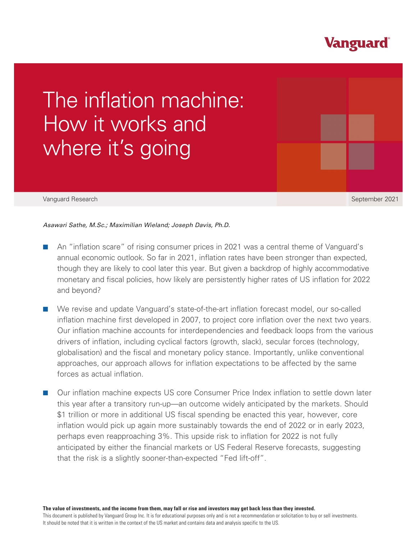## **Vanguard**

# The inflation machine: How it works and where it's going

#### Vanguard Research September 2021

### *Asawari Sathe, M.Sc.; Maximilian Wieland; Joseph Davis, Ph.D.*

- An "inflation scare" of rising consumer prices in 2021 was a central theme of Vanguard's annual economic outlook. So far in 2021, inflation rates have been stronger than expected, though they are likely to cool later this year. But given a backdrop of highly accommodative monetary and fiscal policies, how likely are persistently higher rates of US inflation for 2022 and beyond?
- We revise and update Vanguard's state-of-the-art inflation forecast model, our so-called inflation machine first developed in 2007, to project core inflation over the next two years. Our inflation machine accounts for interdependencies and feedback loops from the various drivers of inflation, including cyclical factors (growth, slack), secular forces (technology, globalisation) and the fiscal and monetary policy stance. Importantly, unlike conventional approaches, our approach allows for inflation expectations to be affected by the same forces as actual inflation.
- Our inflation machine expects US core Consumer Price Index inflation to settle down later this year after a transitory run-up—an outcome widely anticipated by the markets. Should \$1 trillion or more in additional US fiscal spending be enacted this year, however, core inflation would pick up again more sustainably towards the end of 2022 or in early 2023, perhaps even reapproaching 3%. This upside risk to inflation for 2022 is not fully anticipated by either the financial markets or US Federal Reserve forecasts, suggesting that the risk is a slightly sooner-than-expected "Fed lift-off".

**The value of investments, and the income from them, may fall or rise and investors may get back less than they invested.** This document is published by Vanguard Group Inc. It is for educational purposes only and is not a recommendation or solicitation to buy or sell investments. It should be noted that it is written in the context of the US market and contains data and analysis specific to the US.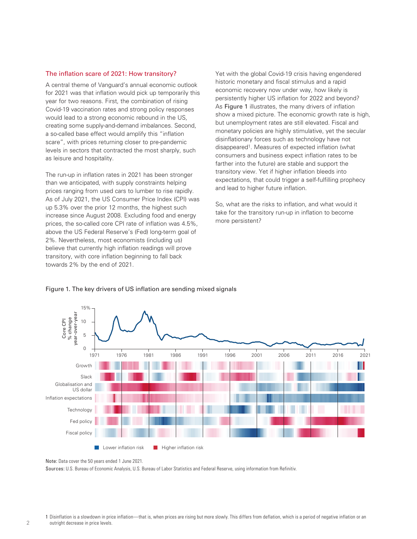#### The inflation scare of 2021: How transitory?

A central theme of Vanguard's annual economic outlook for 2021 was that inflation would pick up temporarily this year for two reasons. First, the combination of rising Covid-19 vaccination rates and strong policy responses would lead to a strong economic rebound in the US, creating some supply-and-demand imbalances. Second, a so-called base effect would amplify this "inflation scare", with prices returning closer to pre-pandemic levels in sectors that contracted the most sharply, such as leisure and hospitality.

The run-up in inflation rates in 2021 has been stronger than we anticipated, with supply constraints helping prices ranging from used cars to lumber to rise rapidly. As of July 2021, the US Consumer Price Index (CPI) was up 5.3% over the prior 12 months, the highest such increase since August 2008. Excluding food and energy prices, the so-called core CPI rate of inflation was 4.5%, above the US Federal Reserve's (Fed) long-term goal of 2%. Nevertheless, most economists (including us) believe that currently high inflation readings will prove transitory, with core inflation beginning to fall back towards 2% by the end of 2021.

Yet with the global Covid-19 crisis having engendered historic monetary and fiscal stimulus and a rapid economic recovery now under way, how likely is persistently higher US inflation for 2022 and beyond? As Figure 1 illustrates, the many drivers of inflation show a mixed picture. The economic growth rate is high, but unemployment rates are still elevated. Fiscal and monetary policies are highly stimulative, yet the secular disinflationary forces such as technology have not disappeared1. Measures of expected inflation (what consumers and business expect inflation rates to be farther into the future) are stable and support the transitory view. Yet if higher inflation bleeds into expectations, that could trigger a self-fulfilling prophecy and lead to higher future inflation.

So, what are the risks to inflation, and what would it take for the transitory run-up in inflation to become more persistent?



#### Figure 1. The key drivers of US inflation are sending mixed signals

Sources: U.S. Bureau of Economic Analysis, U.S. Bureau of Labor Statistics and Federal Reserve, using information from Refinitiv.

Note: Data cover the 50 years ended 1 June 2021.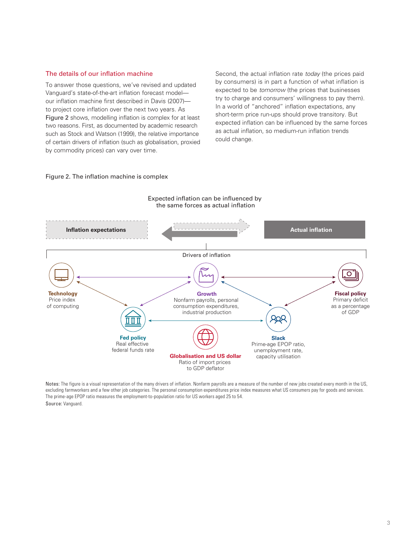#### The details of our inflation machine

To answer those questions, we've revised and updated Vanguard's state-of-the-art inflation forecast model our inflation machine first described in Davis (2007) to project core inflation over the next two years. As Figure 2 shows, modelling inflation is complex for at least two reasons. First, as documented by academic research such as Stock and Watson (1999), the relative importance of certain drivers of inflation (such as globalisation, proxied by commodity prices) can vary over time.

Second, the actual inflation rate *today* (the prices paid by consumers) is in part a function of what inflation is expected to be *tomorrow* (the prices that businesses try to charge and consumers' willingness to pay them). In a world of "anchored" inflation expectations, any short-term price run-ups should prove transitory. But expected inflation can be influenced by the same forces as actual inflation, so medium-run inflation trends could change.

### Figure 2. The inflation machine is complex



Notes: The figure is a visual representation of the many drivers of inflation. Nonfarm payrolls are a measure of the number of new jobs created every month in the US, excluding farmworkers and a few other job categories. The personal consumption expenditures price index measures what US consumers pay for goods and services. The prime-age EPOP ratio measures the employment-to-population ratio for US workers aged 25 to 54. Source: Vanguard.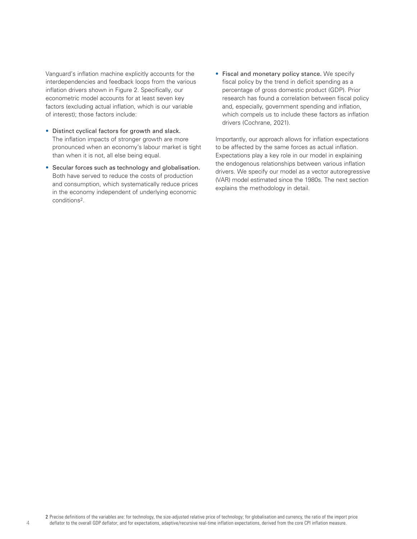Vanguard's inflation machine explicitly accounts for the interdependencies and feedback loops from the various inflation drivers shown in Figure 2. Specifically, our econometric model accounts for at least seven key factors (excluding actual inflation, which is our variable of interest); those factors include:

- Distinct cyclical factors for growth and slack. The inflation impacts of stronger growth are more pronounced when an economy's labour market is tight than when it is not, all else being equal.
- Secular forces such as technology and globalisation. Both have served to reduce the costs of production and consumption, which systematically reduce prices in the economy independent of underlying economic conditions2.
- Fiscal and monetary policy stance. We specify fiscal policy by the trend in deficit spending as a percentage of gross domestic product (GDP). Prior research has found a correlation between fiscal policy and, especially, government spending and inflation, which compels us to include these factors as inflation drivers (Cochrane, 2021).

Importantly, our approach allows for inflation expectations to be affected by the same forces as actual inflation. Expectations play a key role in our model in explaining the endogenous relationships between various inflation drivers. We specify our model as a vector autoregressive (VAR) model estimated since the 1980s. The next section explains the methodology in detail.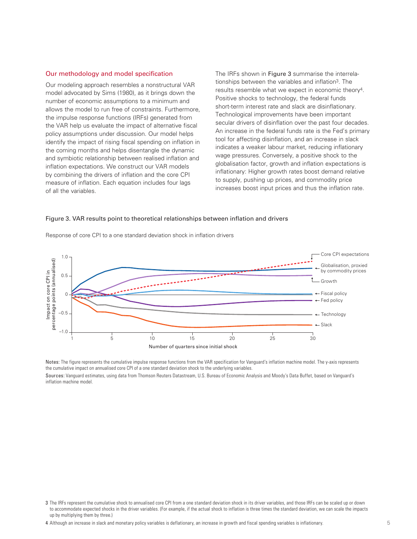#### Our methodology and model specification

Our modeling approach resembles a nonstructural VAR model advocated by Sims (1980), as it brings down the number of economic assumptions to a minimum and allows the model to run free of constraints. Furthermore, the impulse response functions (IRFs) generated from the VAR help us evaluate the impact of alternative fiscal policy assumptions under discussion. Our model helps identify the impact of rising fiscal spending on inflation in the coming months and helps disentangle the dynamic and symbiotic relationship between realised inflation and inflation expectations. We construct our VAR models by combining the drivers of inflation and the core CPI measure of inflation. Each equation includes four lags of all the variables.

The IRFs shown in Figure 3 summarise the interrelationships between the variables and inflation3. The results resemble what we expect in economic theory4. Positive shocks to technology, the federal funds short-term interest rate and slack are disinflationary. Technological improvements have been important secular drivers of disinflation over the past four decades. An increase in the federal funds rate is the Fed's primary tool for affecting disinflation, and an increase in slack indicates a weaker labour market, reducing inflationary wage pressures. Conversely, a positive shock to the globalisation factor, growth and inflation expectations is inflationary: Higher growth rates boost demand relative to supply, pushing up prices, and commodity price increases boost input prices and thus the inflation rate.

#### Figure 3. VAR results point to theoretical relationships between inflation and drivers



Response of core CPI to a one standard deviation shock in inflation drivers

Notes: The figure represents the cumulative impulse response functions from the VAR specification for Vanguard's inflation machine model. The y-axis represents the cumulative impact on annualised core CPI of a one standard deviation shock to the underlying variables.

Sources: Vanguard estimates, using data from Thomson Reuters Datastream, U.S. Bureau of Economic Analysis and Moody's Data Buffet, based on Vanguard's inflation machine model.

<sup>3</sup> The IRFs represent the cumulative shock to annualised core CPI from a one standard deviation shock in its driver variables, and those IRFs can be scaled up or down to accommodate expected shocks in the driver variables. (For example, if the actual shock to inflation is three times the standard deviation, we can scale the impacts up by multiplying them by three.)

<sup>4</sup> Although an increase in slack and monetary policy variables is deflationary, an increase in growth and fiscal spending variables is inflationary.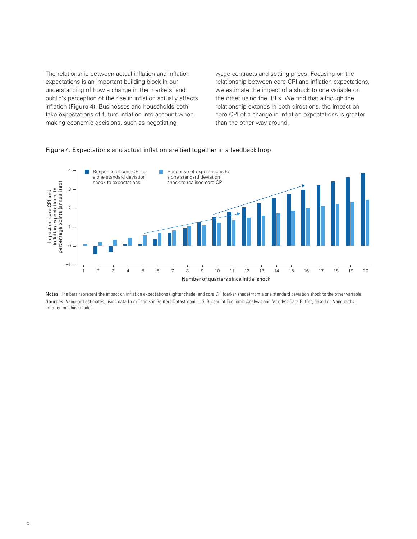The relationship between actual inflation and inflation expectations is an important building block in our understanding of how a change in the markets' and public's perception of the rise in inflation actually affects inflation (Figure 4). Businesses and households both take expectations of future inflation into account when making economic decisions, such as negotiating

wage contracts and setting prices. Focusing on the relationship between core CPI and inflation expectations, we estimate the impact of a shock to one variable on the other using the IRFs. We find that although the relationship extends in both directions, the impact on core CPI of a change in inflation expectations is greater than the other way around.

## Figure 4. Expectations and actual inflation are tied together in a feedback loop



Notes: The bars represent the impact on inflation expectations (lighter shade) and core CPI (darker shade) from a one standard deviation shock to the other variable. Sources: Vanguard estimates, using data from Thomson Reuters Datastream, U.S. Bureau of Economic Analysis and Moody's Data Buffet, based on Vanguard's inflation machine model.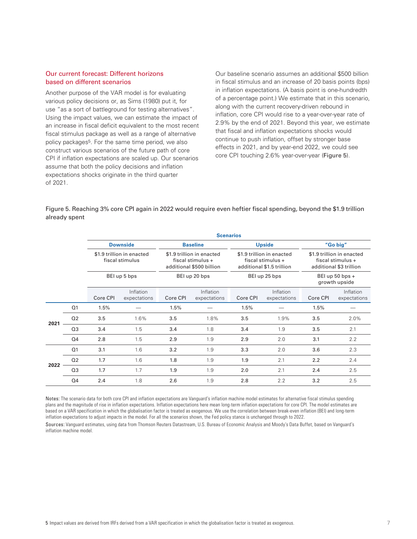#### Our current forecast: Different horizons based on different scenarios

Another purpose of the VAR model is for evaluating various policy decisions or, as Sims (1980) put it, for use "as a sort of battleground for testing alternatives". Using the impact values, we can estimate the impact of an increase in fiscal deficit equivalent to the most recent fiscal stimulus package as well as a range of alternative policy packages<sup>5</sup>. For the same time period, we also construct various scenarios of the future path of core CPI if inflation expectations are scaled up. Our scenarios assume that both the policy decisions and inflation expectations shocks originate in the third quarter of 2021.

Our baseline scenario assumes an additional \$500 billion in fiscal stimulus and an increase of 20 basis points (bps) in inflation expectations. (A basis point is one-hundredth of a percentage point.) We estimate that in this scenario, along with the current recovery-driven rebound in inflation, core CPI would rise to a year-over-year rate of 2.9% by the end of 2021. Beyond this year, we estimate that fiscal and inflation expectations shocks would continue to push inflation, offset by stronger base effects in 2021, and by year-end 2022, we could see core CPI touching 2.6% year-over-year (Figure 5).

Figure 5. Reaching 3% core CPI again in 2022 would require even heftier fiscal spending, beyond the \$1.9 trillion already spent

|      |                | <b>Scenarios</b>                                                                |                           |                                                                                                                |                           |                                                                                                                 |                           |                                                                                                                             |                           |
|------|----------------|---------------------------------------------------------------------------------|---------------------------|----------------------------------------------------------------------------------------------------------------|---------------------------|-----------------------------------------------------------------------------------------------------------------|---------------------------|-----------------------------------------------------------------------------------------------------------------------------|---------------------------|
|      |                | <b>Downside</b><br>\$1.9 trillion in enacted<br>fiscal stimulus<br>BEI up 5 bps |                           | <b>Baseline</b><br>\$1.9 trillion in enacted<br>fiscal stimulus +<br>additional \$500 billion<br>BEI up 20 bps |                           | <b>Upside</b><br>\$1.9 trillion in enacted<br>fiscal stimulus $+$<br>additional \$1.5 trillion<br>BEI up 25 bps |                           | "Go big"<br>\$1.9 trillion in enacted<br>fiscal stimulus +<br>additional \$3 trillion<br>BEI up 50 bps $+$<br>growth upside |                           |
|      |                |                                                                                 |                           |                                                                                                                |                           |                                                                                                                 |                           |                                                                                                                             |                           |
|      |                |                                                                                 |                           |                                                                                                                |                           |                                                                                                                 |                           |                                                                                                                             |                           |
|      |                | Core CPI                                                                        | Inflation<br>expectations | Core CPI                                                                                                       | Inflation<br>expectations | Core CPI                                                                                                        | Inflation<br>expectations | Core CPI                                                                                                                    | Inflation<br>expectations |
| 2021 | Q <sub>1</sub> | 1.5%                                                                            |                           | 1.5%                                                                                                           |                           | 1.5%                                                                                                            |                           | 1.5%                                                                                                                        |                           |
|      | Q <sub>2</sub> | 3.5                                                                             | 1.6%                      | 3.5                                                                                                            | 1.8%                      | 3.5                                                                                                             | 1.9%                      | 3.5                                                                                                                         | 2.0%                      |
|      | Q <sub>3</sub> | 3.4                                                                             | 1.5                       | 3.4                                                                                                            | 1.8                       | 3.4                                                                                                             | 1.9                       | 3.5                                                                                                                         | 2.1                       |
|      | Q <sub>4</sub> | 2.8                                                                             | 1.5                       | 2.9                                                                                                            | 1.9                       | 2.9                                                                                                             | 2.0                       | 3.1                                                                                                                         | 2.2                       |
| 2022 | Q <sub>1</sub> | 3.1                                                                             | 1.6                       | 3.2                                                                                                            | 1.9                       | 3.3                                                                                                             | 2.0                       | 3.6                                                                                                                         | 2.3                       |
|      | Q <sub>2</sub> | 1.7                                                                             | 1.6                       | 1.8                                                                                                            | 1.9                       | 1.9                                                                                                             | 2.1                       | 2.2                                                                                                                         | 2.4                       |
|      | Q <sub>3</sub> | 1.7                                                                             | 1.7                       | 1.9                                                                                                            | 1.9                       | 2.0                                                                                                             | 2.1                       | 2.4                                                                                                                         | 2.5                       |
|      | Q <sub>4</sub> | 2.4                                                                             | 1.8                       | 2.6                                                                                                            | 1.9                       | 2.8                                                                                                             | 2.2                       | 3.2                                                                                                                         | 2.5                       |

Notes: The scenario data for both core CPI and inflation expectations are Vanguard's inflation machine model estimates for alternative fiscal stimulus spending plans and the magnitude of rise in inflation expectations. Inflation expectations here mean long-term inflation expectations for core CPI. The model estimates are based on a VAR specification in which the globalisation factor is treated as exogenous. We use the correlation between break-even inflation (BEI) and long-term inflation expectations to adjust impacts in the model. For all the scenarios shown, the Fed policy stance is unchanged through to 2022.

Sources: Vanguard estimates, using data from Thomson Reuters Datastream, U.S. Bureau of Economic Analysis and Moody's Data Buffet, based on Vanguard's inflation machine model.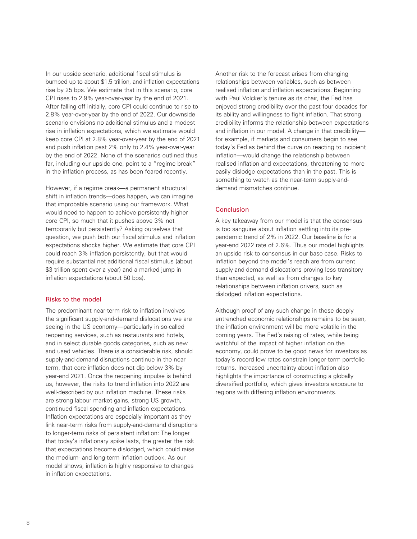In our upside scenario, additional fiscal stimulus is bumped up to about \$1.5 trillion, and inflation expectations rise by 25 bps. We estimate that in this scenario, core CPI rises to 2.9% year-over-year by the end of 2021. After falling off initially, core CPI could continue to rise to 2.8% year-over-year by the end of 2022. Our downside scenario envisions no additional stimulus and a modest rise in inflation expectations, which we estimate would keep core CPI at 2.8% year-over-year by the end of 2021 and push inflation past 2% only to 2.4% year-over-year by the end of 2022. None of the scenarios outlined thus far, including our upside one, point to a "regime break" in the inflation process, as has been feared recently.

However, if a regime break—a permanent structural shift in inflation trends—does happen, we can imagine that improbable scenario using our framework. What would need to happen to achieve persistently higher core CPI, so much that it pushes above 3% not temporarily but persistently? Asking ourselves that question, we push both our fiscal stimulus and inflation expectations shocks higher. We estimate that core CPI could reach 3% inflation persistently, but that would require substantial net additional fiscal stimulus (about \$3 trillion spent over a year) and a marked jump in inflation expectations (about 50 bps).

## Risks to the model

The predominant near-term risk to inflation involves the significant supply-and-demand dislocations we are seeing in the US economy—particularly in so-called reopening services, such as restaurants and hotels, and in select durable goods categories, such as new and used vehicles. There is a considerable risk, should supply-and-demand disruptions continue in the near term, that core inflation does not dip below 3% by year-end 2021. Once the reopening impulse is behind us, however, the risks to trend inflation into 2022 are well-described by our inflation machine. These risks are strong labour market gains, strong US growth, continued fiscal spending and inflation expectations. Inflation expectations are especially important as they link near-term risks from supply-and-demand disruptions to longer-term risks of persistent inflation: The longer that today's inflationary spike lasts, the greater the risk that expectations become dislodged, which could raise the medium- and long-term inflation outlook. As our model shows, inflation is highly responsive to changes in inflation expectations.

Another risk to the forecast arises from changing relationships between variables, such as between realised inflation and inflation expectations. Beginning with Paul Volcker's tenure as its chair, the Fed has enjoyed strong credibility over the past four decades for its ability and willingness to fight inflation. That strong credibility informs the relationship between expectations and inflation in our model. A change in that credibility for example, if markets and consumers begin to see today's Fed as behind the curve on reacting to incipient inflation—would change the relationship between realised inflation and expectations, threatening to more easily dislodge expectations than in the past. This is something to watch as the near-term supply-anddemand mismatches continue.

#### Conclusion

A key takeaway from our model is that the consensus is too sanguine about inflation settling into its prepandemic trend of 2% in 2022. Our baseline is for a year-end 2022 rate of 2.6%. Thus our model highlights an upside risk to consensus in our base case. Risks to inflation beyond the model's reach are from current supply-and-demand dislocations proving less transitory than expected, as well as from changes to key relationships between inflation drivers, such as dislodged inflation expectations.

Although proof of any such change in these deeply entrenched economic relationships remains to be seen, the inflation environment will be more volatile in the coming years. The Fed's raising of rates, while being watchful of the impact of higher inflation on the economy, could prove to be good news for investors as today's record low rates constrain longer-term portfolio returns. Increased uncertainty about inflation also highlights the importance of constructing a globally diversified portfolio, which gives investors exposure to regions with differing inflation environments.